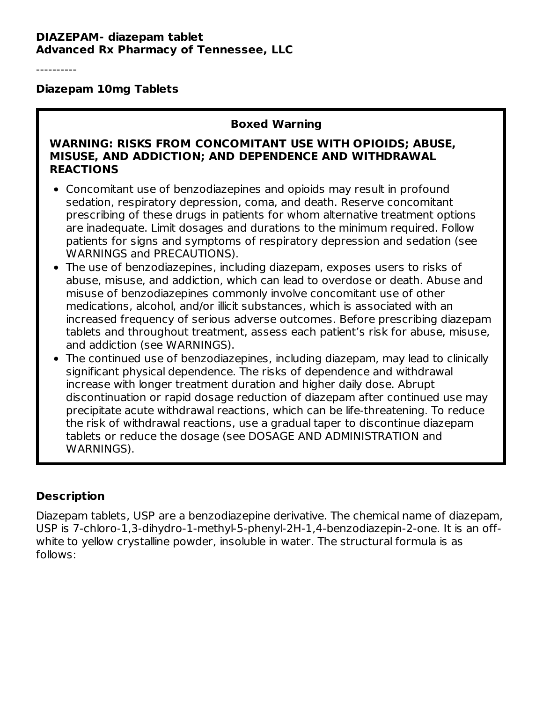#### **DIAZEPAM- diazepam tablet Advanced Rx Pharmacy of Tennessee, LLC**

----------

#### **Diazepam 10mg Tablets**

#### **Boxed Warning**

#### **WARNING: RISKS FROM CONCOMITANT USE WITH OPIOIDS; ABUSE, MISUSE, AND ADDICTION; AND DEPENDENCE AND WITHDRAWAL REACTIONS**

- Concomitant use of benzodiazepines and opioids may result in profound sedation, respiratory depression, coma, and death. Reserve concomitant prescribing of these drugs in patients for whom alternative treatment options are inadequate. Limit dosages and durations to the minimum required. Follow patients for signs and symptoms of respiratory depression and sedation (see WARNINGS and PRECAUTIONS).
- The use of benzodiazepines, including diazepam, exposes users to risks of abuse, misuse, and addiction, which can lead to overdose or death. Abuse and misuse of benzodiazepines commonly involve concomitant use of other medications, alcohol, and/or illicit substances, which is associated with an increased frequency of serious adverse outcomes. Before prescribing diazepam tablets and throughout treatment, assess each patient's risk for abuse, misuse, and addiction (see WARNINGS).
- The continued use of benzodiazepines, including diazepam, may lead to clinically significant physical dependence. The risks of dependence and withdrawal increase with longer treatment duration and higher daily dose. Abrupt discontinuation or rapid dosage reduction of diazepam after continued use may precipitate acute withdrawal reactions, which can be life-threatening. To reduce the risk of withdrawal reactions, use a gradual taper to discontinue diazepam tablets or reduce the dosage (see DOSAGE AND ADMINISTRATION and WARNINGS).

### **Description**

Diazepam tablets, USP are a benzodiazepine derivative. The chemical name of diazepam, USP is 7-chloro-1,3-dihydro-1-methyl-5-phenyl-2H-1,4-benzodiazepin-2-one. It is an offwhite to yellow crystalline powder, insoluble in water. The structural formula is as follows: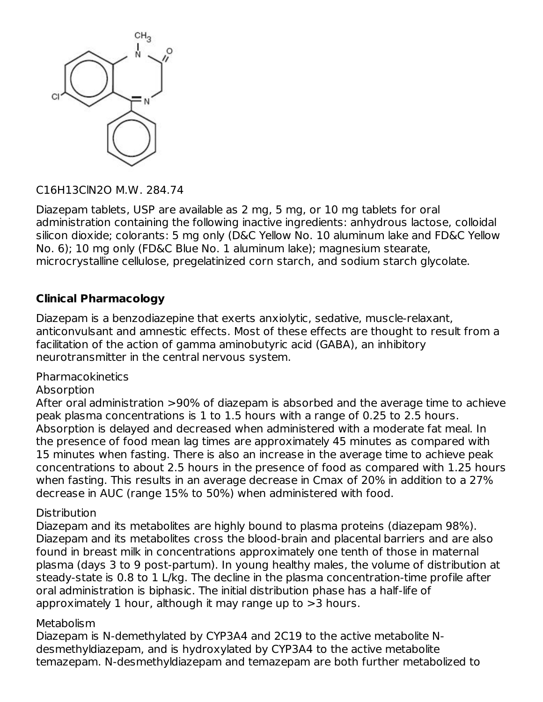

### C16H13ClN2O M.W. 284.74

Diazepam tablets, USP are available as 2 mg, 5 mg, or 10 mg tablets for oral administration containing the following inactive ingredients: anhydrous lactose, colloidal silicon dioxide; colorants: 5 mg only (D&C Yellow No. 10 aluminum lake and FD&C Yellow No. 6); 10 mg only (FD&C Blue No. 1 aluminum lake); magnesium stearate, microcrystalline cellulose, pregelatinized corn starch, and sodium starch glycolate.

### **Clinical Pharmacology**

Diazepam is a benzodiazepine that exerts anxiolytic, sedative, muscle-relaxant, anticonvulsant and amnestic effects. Most of these effects are thought to result from a facilitation of the action of gamma aminobutyric acid (GABA), an inhibitory neurotransmitter in the central nervous system.

### Pharmacokinetics

#### Absorption

After oral administration >90% of diazepam is absorbed and the average time to achieve peak plasma concentrations is 1 to 1.5 hours with a range of 0.25 to 2.5 hours. Absorption is delayed and decreased when administered with a moderate fat meal. In the presence of food mean lag times are approximately 45 minutes as compared with 15 minutes when fasting. There is also an increase in the average time to achieve peak concentrations to about 2.5 hours in the presence of food as compared with 1.25 hours when fasting. This results in an average decrease in Cmax of 20% in addition to a 27% decrease in AUC (range 15% to 50%) when administered with food.

#### **Distribution**

Diazepam and its metabolites are highly bound to plasma proteins (diazepam 98%). Diazepam and its metabolites cross the blood-brain and placental barriers and are also found in breast milk in concentrations approximately one tenth of those in maternal plasma (days 3 to 9 post-partum). In young healthy males, the volume of distribution at steady-state is 0.8 to 1 L/kg. The decline in the plasma concentration-time profile after oral administration is biphasic. The initial distribution phase has a half-life of approximately 1 hour, although it may range up to >3 hours.

#### **Metabolism**

Diazepam is N-demethylated by CYP3A4 and 2C19 to the active metabolite Ndesmethyldiazepam, and is hydroxylated by CYP3A4 to the active metabolite temazepam. N-desmethyldiazepam and temazepam are both further metabolized to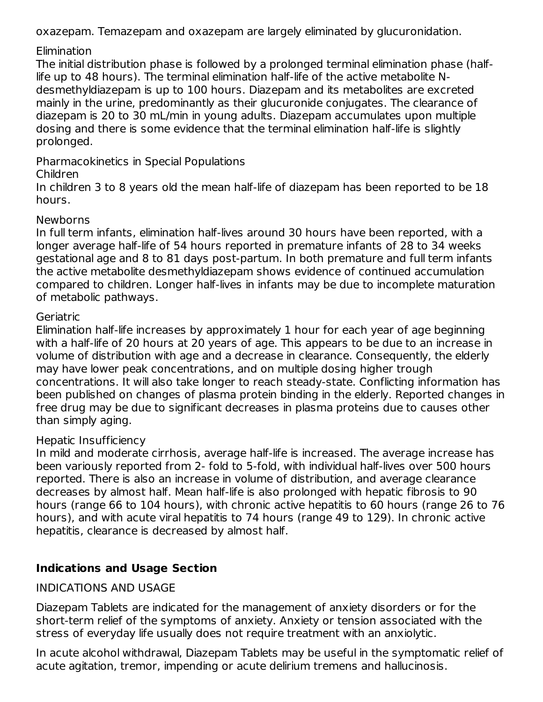oxazepam. Temazepam and oxazepam are largely eliminated by glucuronidation.

### Elimination

The initial distribution phase is followed by a prolonged terminal elimination phase (halflife up to 48 hours). The terminal elimination half-life of the active metabolite Ndesmethyldiazepam is up to 100 hours. Diazepam and its metabolites are excreted mainly in the urine, predominantly as their glucuronide conjugates. The clearance of diazepam is 20 to 30 mL/min in young adults. Diazepam accumulates upon multiple dosing and there is some evidence that the terminal elimination half-life is slightly prolonged.

Pharmacokinetics in Special Populations

### Children

In children 3 to 8 years old the mean half-life of diazepam has been reported to be 18 hours.

### **Newborns**

In full term infants, elimination half-lives around 30 hours have been reported, with a longer average half-life of 54 hours reported in premature infants of 28 to 34 weeks gestational age and 8 to 81 days post-partum. In both premature and full term infants the active metabolite desmethyldiazepam shows evidence of continued accumulation compared to children. Longer half-lives in infants may be due to incomplete maturation of metabolic pathways.

### **Geriatric**

Elimination half-life increases by approximately 1 hour for each year of age beginning with a half-life of 20 hours at 20 years of age. This appears to be due to an increase in volume of distribution with age and a decrease in clearance. Consequently, the elderly may have lower peak concentrations, and on multiple dosing higher trough concentrations. It will also take longer to reach steady-state. Conflicting information has been published on changes of plasma protein binding in the elderly. Reported changes in free drug may be due to significant decreases in plasma proteins due to causes other than simply aging.

### Hepatic Insufficiency

In mild and moderate cirrhosis, average half-life is increased. The average increase has been variously reported from 2- fold to 5-fold, with individual half-lives over 500 hours reported. There is also an increase in volume of distribution, and average clearance decreases by almost half. Mean half-life is also prolonged with hepatic fibrosis to 90 hours (range 66 to 104 hours), with chronic active hepatitis to 60 hours (range 26 to 76 hours), and with acute viral hepatitis to 74 hours (range 49 to 129). In chronic active hepatitis, clearance is decreased by almost half.

# **Indications and Usage Section**

### INDICATIONS AND USAGE

Diazepam Tablets are indicated for the management of anxiety disorders or for the short-term relief of the symptoms of anxiety. Anxiety or tension associated with the stress of everyday life usually does not require treatment with an anxiolytic.

In acute alcohol withdrawal, Diazepam Tablets may be useful in the symptomatic relief of acute agitation, tremor, impending or acute delirium tremens and hallucinosis.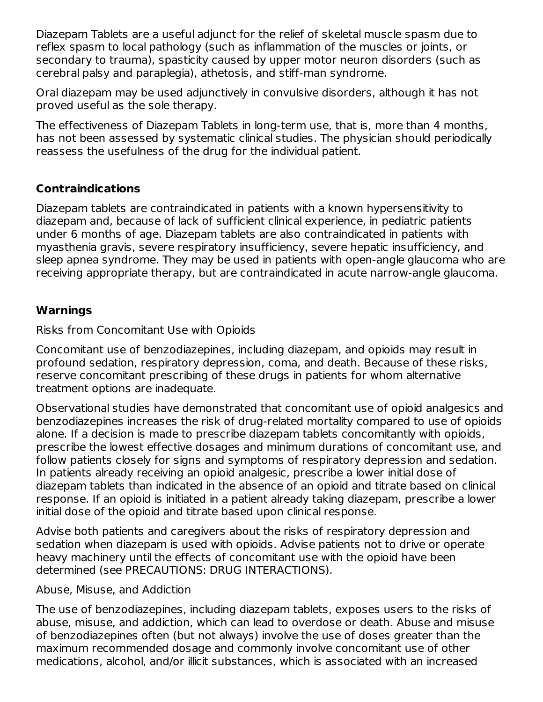Diazepam Tablets are a useful adjunct for the relief of skeletal muscle spasm due to reflex spasm to local pathology (such as inflammation of the muscles or joints, or secondary to trauma), spasticity caused by upper motor neuron disorders (such as cerebral palsy and paraplegia), athetosis, and stiff-man syndrome.

Oral diazepam may be used adjunctively in convulsive disorders, although it has not proved useful as the sole therapy.

The effectiveness of Diazepam Tablets in long-term use, that is, more than 4 months, has not been assessed by systematic clinical studies. The physician should periodically reassess the usefulness of the drug for the individual patient.

### **Contraindications**

Diazepam tablets are contraindicated in patients with a known hypersensitivity to diazepam and, because of lack of sufficient clinical experience, in pediatric patients under 6 months of age. Diazepam tablets are also contraindicated in patients with myasthenia gravis, severe respiratory insufficiency, severe hepatic insufficiency, and sleep apnea syndrome. They may be used in patients with open-angle glaucoma who are receiving appropriate therapy, but are contraindicated in acute narrow-angle glaucoma.

### **Warnings**

Risks from Concomitant Use with Opioids

Concomitant use of benzodiazepines, including diazepam, and opioids may result in profound sedation, respiratory depression, coma, and death. Because of these risks, reserve concomitant prescribing of these drugs in patients for whom alternative treatment options are inadequate.

Observational studies have demonstrated that concomitant use of opioid analgesics and benzodiazepines increases the risk of drug-related mortality compared to use of opioids alone. If a decision is made to prescribe diazepam tablets concomitantly with opioids, prescribe the lowest effective dosages and minimum durations of concomitant use, and follow patients closely for signs and symptoms of respiratory depression and sedation. In patients already receiving an opioid analgesic, prescribe a lower initial dose of diazepam tablets than indicated in the absence of an opioid and titrate based on clinical response. If an opioid is initiated in a patient already taking diazepam, prescribe a lower initial dose of the opioid and titrate based upon clinical response.

Advise both patients and caregivers about the risks of respiratory depression and sedation when diazepam is used with opioids. Advise patients not to drive or operate heavy machinery until the effects of concomitant use with the opioid have been determined (see PRECAUTIONS: DRUG INTERACTIONS).

#### Abuse, Misuse, and Addiction

The use of benzodiazepines, including diazepam tablets, exposes users to the risks of abuse, misuse, and addiction, which can lead to overdose or death. Abuse and misuse of benzodiazepines often (but not always) involve the use of doses greater than the maximum recommended dosage and commonly involve concomitant use of other medications, alcohol, and/or illicit substances, which is associated with an increased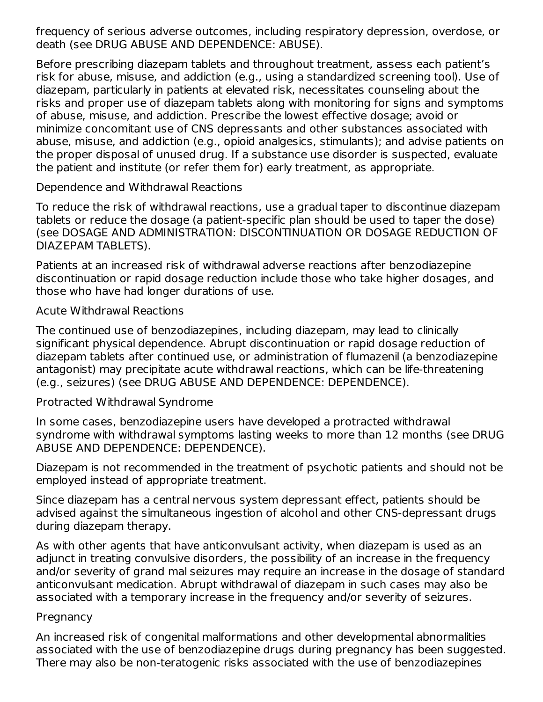frequency of serious adverse outcomes, including respiratory depression, overdose, or death (see DRUG ABUSE AND DEPENDENCE: ABUSE).

Before prescribing diazepam tablets and throughout treatment, assess each patient's risk for abuse, misuse, and addiction (e.g., using a standardized screening tool). Use of diazepam, particularly in patients at elevated risk, necessitates counseling about the risks and proper use of diazepam tablets along with monitoring for signs and symptoms of abuse, misuse, and addiction. Prescribe the lowest effective dosage; avoid or minimize concomitant use of CNS depressants and other substances associated with abuse, misuse, and addiction (e.g., opioid analgesics, stimulants); and advise patients on the proper disposal of unused drug. If a substance use disorder is suspected, evaluate the patient and institute (or refer them for) early treatment, as appropriate.

#### Dependence and Withdrawal Reactions

To reduce the risk of withdrawal reactions, use a gradual taper to discontinue diazepam tablets or reduce the dosage (a patient-specific plan should be used to taper the dose) (see DOSAGE AND ADMINISTRATION: DISCONTINUATION OR DOSAGE REDUCTION OF DIAZEPAM TABLETS).

Patients at an increased risk of withdrawal adverse reactions after benzodiazepine discontinuation or rapid dosage reduction include those who take higher dosages, and those who have had longer durations of use.

#### Acute Withdrawal Reactions

The continued use of benzodiazepines, including diazepam, may lead to clinically significant physical dependence. Abrupt discontinuation or rapid dosage reduction of diazepam tablets after continued use, or administration of flumazenil (a benzodiazepine antagonist) may precipitate acute withdrawal reactions, which can be life-threatening (e.g., seizures) (see DRUG ABUSE AND DEPENDENCE: DEPENDENCE).

### Protracted Withdrawal Syndrome

In some cases, benzodiazepine users have developed a protracted withdrawal syndrome with withdrawal symptoms lasting weeks to more than 12 months (see DRUG ABUSE AND DEPENDENCE: DEPENDENCE).

Diazepam is not recommended in the treatment of psychotic patients and should not be employed instead of appropriate treatment.

Since diazepam has a central nervous system depressant effect, patients should be advised against the simultaneous ingestion of alcohol and other CNS-depressant drugs during diazepam therapy.

As with other agents that have anticonvulsant activity, when diazepam is used as an adjunct in treating convulsive disorders, the possibility of an increase in the frequency and/or severity of grand mal seizures may require an increase in the dosage of standard anticonvulsant medication. Abrupt withdrawal of diazepam in such cases may also be associated with a temporary increase in the frequency and/or severity of seizures.

#### **Pregnancy**

An increased risk of congenital malformations and other developmental abnormalities associated with the use of benzodiazepine drugs during pregnancy has been suggested. There may also be non-teratogenic risks associated with the use of benzodiazepines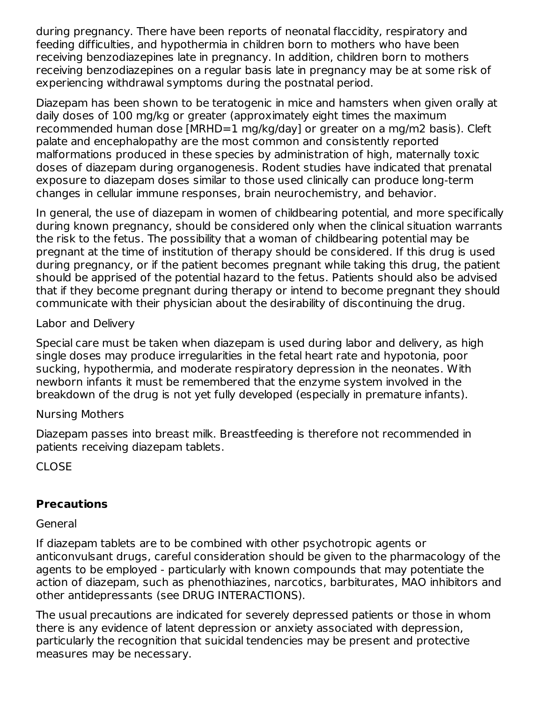during pregnancy. There have been reports of neonatal flaccidity, respiratory and feeding difficulties, and hypothermia in children born to mothers who have been receiving benzodiazepines late in pregnancy. In addition, children born to mothers receiving benzodiazepines on a regular basis late in pregnancy may be at some risk of experiencing withdrawal symptoms during the postnatal period.

Diazepam has been shown to be teratogenic in mice and hamsters when given orally at daily doses of 100 mg/kg or greater (approximately eight times the maximum recommended human dose [MRHD=1 mg/kg/day] or greater on a mg/m2 basis). Cleft palate and encephalopathy are the most common and consistently reported malformations produced in these species by administration of high, maternally toxic doses of diazepam during organogenesis. Rodent studies have indicated that prenatal exposure to diazepam doses similar to those used clinically can produce long-term changes in cellular immune responses, brain neurochemistry, and behavior.

In general, the use of diazepam in women of childbearing potential, and more specifically during known pregnancy, should be considered only when the clinical situation warrants the risk to the fetus. The possibility that a woman of childbearing potential may be pregnant at the time of institution of therapy should be considered. If this drug is used during pregnancy, or if the patient becomes pregnant while taking this drug, the patient should be apprised of the potential hazard to the fetus. Patients should also be advised that if they become pregnant during therapy or intend to become pregnant they should communicate with their physician about the desirability of discontinuing the drug.

Labor and Delivery

Special care must be taken when diazepam is used during labor and delivery, as high single doses may produce irregularities in the fetal heart rate and hypotonia, poor sucking, hypothermia, and moderate respiratory depression in the neonates. With newborn infants it must be remembered that the enzyme system involved in the breakdown of the drug is not yet fully developed (especially in premature infants).

### Nursing Mothers

Diazepam passes into breast milk. Breastfeeding is therefore not recommended in patients receiving diazepam tablets.

CLOSE

# **Precautions**

### General

If diazepam tablets are to be combined with other psychotropic agents or anticonvulsant drugs, careful consideration should be given to the pharmacology of the agents to be employed - particularly with known compounds that may potentiate the action of diazepam, such as phenothiazines, narcotics, barbiturates, MAO inhibitors and other antidepressants (see DRUG INTERACTIONS).

The usual precautions are indicated for severely depressed patients or those in whom there is any evidence of latent depression or anxiety associated with depression, particularly the recognition that suicidal tendencies may be present and protective measures may be necessary.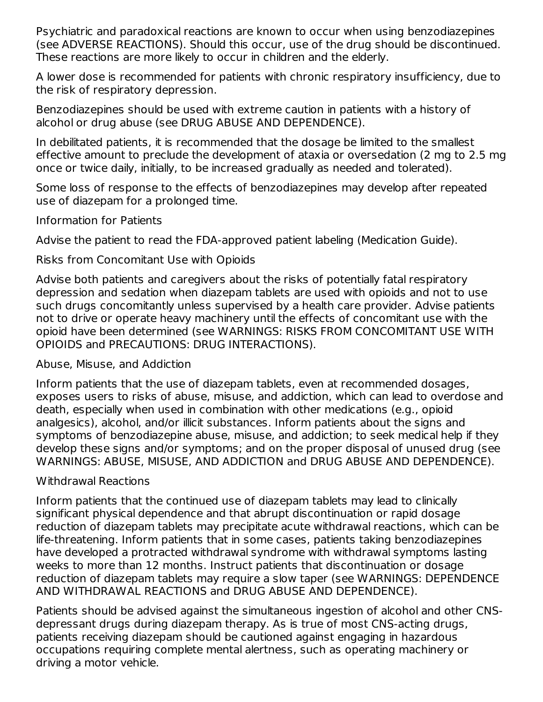Psychiatric and paradoxical reactions are known to occur when using benzodiazepines (see ADVERSE REACTIONS). Should this occur, use of the drug should be discontinued. These reactions are more likely to occur in children and the elderly.

A lower dose is recommended for patients with chronic respiratory insufficiency, due to the risk of respiratory depression.

Benzodiazepines should be used with extreme caution in patients with a history of alcohol or drug abuse (see DRUG ABUSE AND DEPENDENCE).

In debilitated patients, it is recommended that the dosage be limited to the smallest effective amount to preclude the development of ataxia or oversedation (2 mg to 2.5 mg once or twice daily, initially, to be increased gradually as needed and tolerated).

Some loss of response to the effects of benzodiazepines may develop after repeated use of diazepam for a prolonged time.

#### Information for Patients

Advise the patient to read the FDA-approved patient labeling (Medication Guide).

### Risks from Concomitant Use with Opioids

Advise both patients and caregivers about the risks of potentially fatal respiratory depression and sedation when diazepam tablets are used with opioids and not to use such drugs concomitantly unless supervised by a health care provider. Advise patients not to drive or operate heavy machinery until the effects of concomitant use with the opioid have been determined (see WARNINGS: RISKS FROM CONCOMITANT USE WITH OPIOIDS and PRECAUTIONS: DRUG INTERACTIONS).

### Abuse, Misuse, and Addiction

Inform patients that the use of diazepam tablets, even at recommended dosages, exposes users to risks of abuse, misuse, and addiction, which can lead to overdose and death, especially when used in combination with other medications (e.g., opioid analgesics), alcohol, and/or illicit substances. Inform patients about the signs and symptoms of benzodiazepine abuse, misuse, and addiction; to seek medical help if they develop these signs and/or symptoms; and on the proper disposal of unused drug (see WARNINGS: ABUSE, MISUSE, AND ADDICTION and DRUG ABUSE AND DEPENDENCE).

### Withdrawal Reactions

Inform patients that the continued use of diazepam tablets may lead to clinically significant physical dependence and that abrupt discontinuation or rapid dosage reduction of diazepam tablets may precipitate acute withdrawal reactions, which can be life-threatening. Inform patients that in some cases, patients taking benzodiazepines have developed a protracted withdrawal syndrome with withdrawal symptoms lasting weeks to more than 12 months. Instruct patients that discontinuation or dosage reduction of diazepam tablets may require a slow taper (see WARNINGS: DEPENDENCE AND WITHDRAWAL REACTIONS and DRUG ABUSE AND DEPENDENCE).

Patients should be advised against the simultaneous ingestion of alcohol and other CNSdepressant drugs during diazepam therapy. As is true of most CNS-acting drugs, patients receiving diazepam should be cautioned against engaging in hazardous occupations requiring complete mental alertness, such as operating machinery or driving a motor vehicle.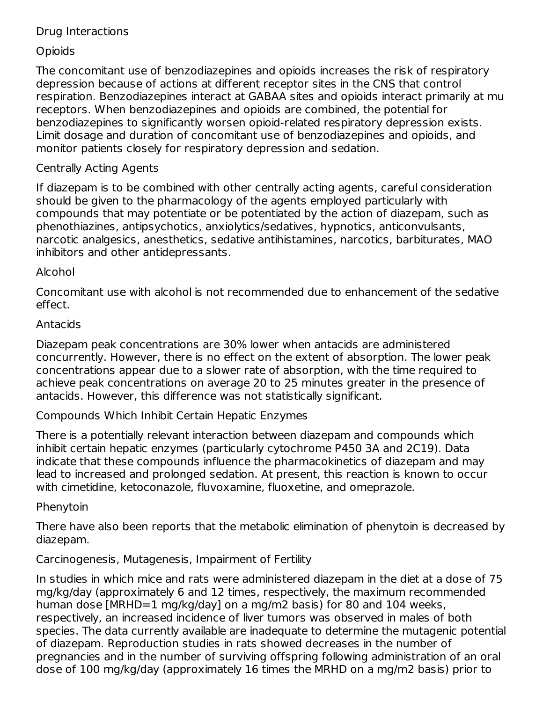### Drug Interactions

## **Opioids**

The concomitant use of benzodiazepines and opioids increases the risk of respiratory depression because of actions at different receptor sites in the CNS that control respiration. Benzodiazepines interact at GABAA sites and opioids interact primarily at mu receptors. When benzodiazepines and opioids are combined, the potential for benzodiazepines to significantly worsen opioid-related respiratory depression exists. Limit dosage and duration of concomitant use of benzodiazepines and opioids, and monitor patients closely for respiratory depression and sedation.

## Centrally Acting Agents

If diazepam is to be combined with other centrally acting agents, careful consideration should be given to the pharmacology of the agents employed particularly with compounds that may potentiate or be potentiated by the action of diazepam, such as phenothiazines, antipsychotics, anxiolytics/sedatives, hypnotics, anticonvulsants, narcotic analgesics, anesthetics, sedative antihistamines, narcotics, barbiturates, MAO inhibitors and other antidepressants.

### Alcohol

Concomitant use with alcohol is not recommended due to enhancement of the sedative effect.

### Antacids

Diazepam peak concentrations are 30% lower when antacids are administered concurrently. However, there is no effect on the extent of absorption. The lower peak concentrations appear due to a slower rate of absorption, with the time required to achieve peak concentrations on average 20 to 25 minutes greater in the presence of antacids. However, this difference was not statistically significant.

Compounds Which Inhibit Certain Hepatic Enzymes

There is a potentially relevant interaction between diazepam and compounds which inhibit certain hepatic enzymes (particularly cytochrome P450 3A and 2C19). Data indicate that these compounds influence the pharmacokinetics of diazepam and may lead to increased and prolonged sedation. At present, this reaction is known to occur with cimetidine, ketoconazole, fluvoxamine, fluoxetine, and omeprazole.

### Phenytoin

There have also been reports that the metabolic elimination of phenytoin is decreased by diazepam.

### Carcinogenesis, Mutagenesis, Impairment of Fertility

In studies in which mice and rats were administered diazepam in the diet at a dose of 75 mg/kg/day (approximately 6 and 12 times, respectively, the maximum recommended human dose [MRHD=1 mg/kg/day] on a mg/m2 basis) for 80 and 104 weeks, respectively, an increased incidence of liver tumors was observed in males of both species. The data currently available are inadequate to determine the mutagenic potential of diazepam. Reproduction studies in rats showed decreases in the number of pregnancies and in the number of surviving offspring following administration of an oral dose of 100 mg/kg/day (approximately 16 times the MRHD on a mg/m2 basis) prior to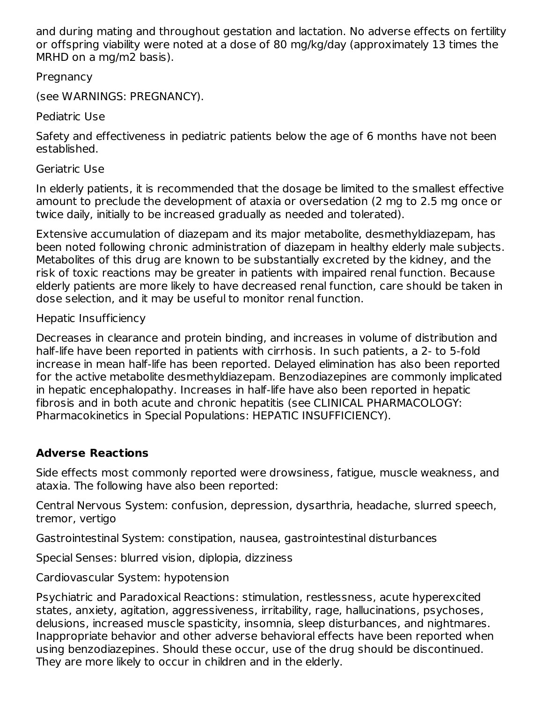and during mating and throughout gestation and lactation. No adverse effects on fertility or offspring viability were noted at a dose of 80 mg/kg/day (approximately 13 times the MRHD on a mg/m2 basis).

Pregnancy

(see WARNINGS: PREGNANCY).

Pediatric Use

Safety and effectiveness in pediatric patients below the age of 6 months have not been established.

Geriatric Use

In elderly patients, it is recommended that the dosage be limited to the smallest effective amount to preclude the development of ataxia or oversedation (2 mg to 2.5 mg once or twice daily, initially to be increased gradually as needed and tolerated).

Extensive accumulation of diazepam and its major metabolite, desmethyldiazepam, has been noted following chronic administration of diazepam in healthy elderly male subjects. Metabolites of this drug are known to be substantially excreted by the kidney, and the risk of toxic reactions may be greater in patients with impaired renal function. Because elderly patients are more likely to have decreased renal function, care should be taken in dose selection, and it may be useful to monitor renal function.

Hepatic Insufficiency

Decreases in clearance and protein binding, and increases in volume of distribution and half-life have been reported in patients with cirrhosis. In such patients, a 2- to 5-fold increase in mean half-life has been reported. Delayed elimination has also been reported for the active metabolite desmethyldiazepam. Benzodiazepines are commonly implicated in hepatic encephalopathy. Increases in half-life have also been reported in hepatic fibrosis and in both acute and chronic hepatitis (see CLINICAL PHARMACOLOGY: Pharmacokinetics in Special Populations: HEPATIC INSUFFICIENCY).

# **Adverse Reactions**

Side effects most commonly reported were drowsiness, fatigue, muscle weakness, and ataxia. The following have also been reported:

Central Nervous System: confusion, depression, dysarthria, headache, slurred speech, tremor, vertigo

Gastrointestinal System: constipation, nausea, gastrointestinal disturbances

Special Senses: blurred vision, diplopia, dizziness

Cardiovascular System: hypotension

Psychiatric and Paradoxical Reactions: stimulation, restlessness, acute hyperexcited states, anxiety, agitation, aggressiveness, irritability, rage, hallucinations, psychoses, delusions, increased muscle spasticity, insomnia, sleep disturbances, and nightmares. Inappropriate behavior and other adverse behavioral effects have been reported when using benzodiazepines. Should these occur, use of the drug should be discontinued. They are more likely to occur in children and in the elderly.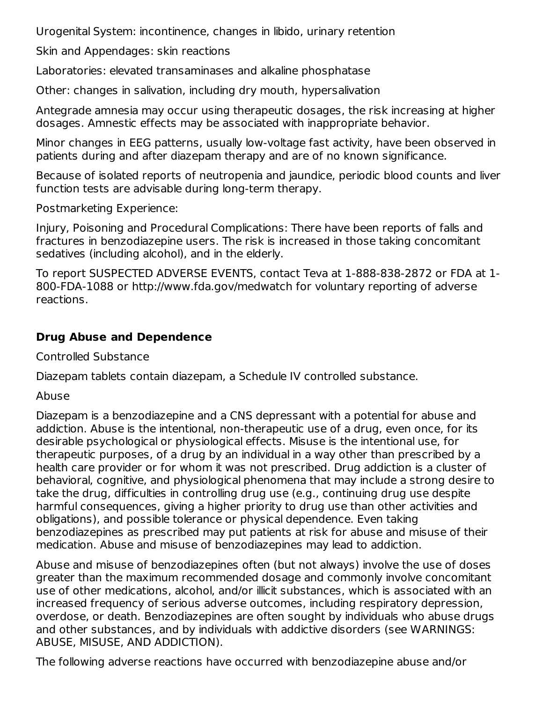Urogenital System: incontinence, changes in libido, urinary retention

Skin and Appendages: skin reactions

Laboratories: elevated transaminases and alkaline phosphatase

Other: changes in salivation, including dry mouth, hypersalivation

Antegrade amnesia may occur using therapeutic dosages, the risk increasing at higher dosages. Amnestic effects may be associated with inappropriate behavior.

Minor changes in EEG patterns, usually low-voltage fast activity, have been observed in patients during and after diazepam therapy and are of no known significance.

Because of isolated reports of neutropenia and jaundice, periodic blood counts and liver function tests are advisable during long-term therapy.

Postmarketing Experience:

Injury, Poisoning and Procedural Complications: There have been reports of falls and fractures in benzodiazepine users. The risk is increased in those taking concomitant sedatives (including alcohol), and in the elderly.

To report SUSPECTED ADVERSE EVENTS, contact Teva at 1-888-838-2872 or FDA at 1- 800-FDA-1088 or http://www.fda.gov/medwatch for voluntary reporting of adverse reactions.

# **Drug Abuse and Dependence**

Controlled Substance

Diazepam tablets contain diazepam, a Schedule IV controlled substance.

Abuse

Diazepam is a benzodiazepine and a CNS depressant with a potential for abuse and addiction. Abuse is the intentional, non-therapeutic use of a drug, even once, for its desirable psychological or physiological effects. Misuse is the intentional use, for therapeutic purposes, of a drug by an individual in a way other than prescribed by a health care provider or for whom it was not prescribed. Drug addiction is a cluster of behavioral, cognitive, and physiological phenomena that may include a strong desire to take the drug, difficulties in controlling drug use (e.g., continuing drug use despite harmful consequences, giving a higher priority to drug use than other activities and obligations), and possible tolerance or physical dependence. Even taking benzodiazepines as prescribed may put patients at risk for abuse and misuse of their medication. Abuse and misuse of benzodiazepines may lead to addiction.

Abuse and misuse of benzodiazepines often (but not always) involve the use of doses greater than the maximum recommended dosage and commonly involve concomitant use of other medications, alcohol, and/or illicit substances, which is associated with an increased frequency of serious adverse outcomes, including respiratory depression, overdose, or death. Benzodiazepines are often sought by individuals who abuse drugs and other substances, and by individuals with addictive disorders (see WARNINGS: ABUSE, MISUSE, AND ADDICTION).

The following adverse reactions have occurred with benzodiazepine abuse and/or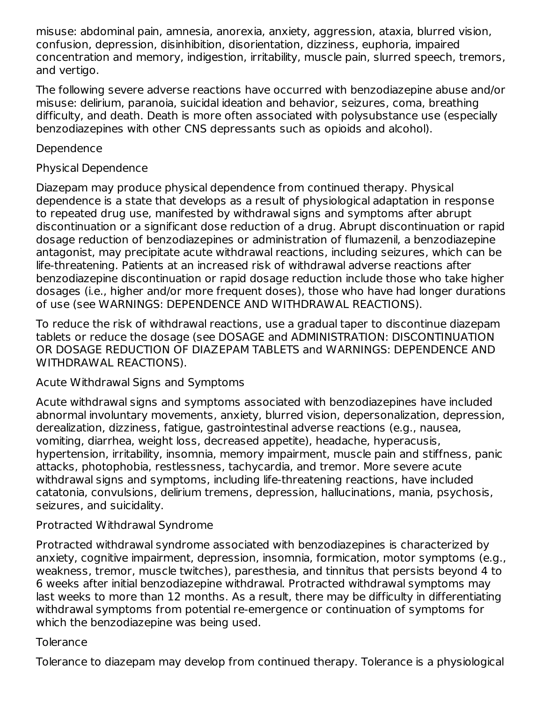misuse: abdominal pain, amnesia, anorexia, anxiety, aggression, ataxia, blurred vision, confusion, depression, disinhibition, disorientation, dizziness, euphoria, impaired concentration and memory, indigestion, irritability, muscle pain, slurred speech, tremors, and vertigo.

The following severe adverse reactions have occurred with benzodiazepine abuse and/or misuse: delirium, paranoia, suicidal ideation and behavior, seizures, coma, breathing difficulty, and death. Death is more often associated with polysubstance use (especially benzodiazepines with other CNS depressants such as opioids and alcohol).

### Dependence

## Physical Dependence

Diazepam may produce physical dependence from continued therapy. Physical dependence is a state that develops as a result of physiological adaptation in response to repeated drug use, manifested by withdrawal signs and symptoms after abrupt discontinuation or a significant dose reduction of a drug. Abrupt discontinuation or rapid dosage reduction of benzodiazepines or administration of flumazenil, a benzodiazepine antagonist, may precipitate acute withdrawal reactions, including seizures, which can be life-threatening. Patients at an increased risk of withdrawal adverse reactions after benzodiazepine discontinuation or rapid dosage reduction include those who take higher dosages (i.e., higher and/or more frequent doses), those who have had longer durations of use (see WARNINGS: DEPENDENCE AND WITHDRAWAL REACTIONS).

To reduce the risk of withdrawal reactions, use a gradual taper to discontinue diazepam tablets or reduce the dosage (see DOSAGE and ADMINISTRATION: DISCONTINUATION OR DOSAGE REDUCTION OF DIAZEPAM TABLETS and WARNINGS: DEPENDENCE AND WITHDRAWAL REACTIONS).

Acute Withdrawal Signs and Symptoms

Acute withdrawal signs and symptoms associated with benzodiazepines have included abnormal involuntary movements, anxiety, blurred vision, depersonalization, depression, derealization, dizziness, fatigue, gastrointestinal adverse reactions (e.g., nausea, vomiting, diarrhea, weight loss, decreased appetite), headache, hyperacusis, hypertension, irritability, insomnia, memory impairment, muscle pain and stiffness, panic attacks, photophobia, restlessness, tachycardia, and tremor. More severe acute withdrawal signs and symptoms, including life-threatening reactions, have included catatonia, convulsions, delirium tremens, depression, hallucinations, mania, psychosis, seizures, and suicidality.

### Protracted Withdrawal Syndrome

Protracted withdrawal syndrome associated with benzodiazepines is characterized by anxiety, cognitive impairment, depression, insomnia, formication, motor symptoms (e.g., weakness, tremor, muscle twitches), paresthesia, and tinnitus that persists beyond 4 to 6 weeks after initial benzodiazepine withdrawal. Protracted withdrawal symptoms may last weeks to more than 12 months. As a result, there may be difficulty in differentiating withdrawal symptoms from potential re-emergence or continuation of symptoms for which the benzodiazepine was being used.

### **Tolerance**

Tolerance to diazepam may develop from continued therapy. Tolerance is a physiological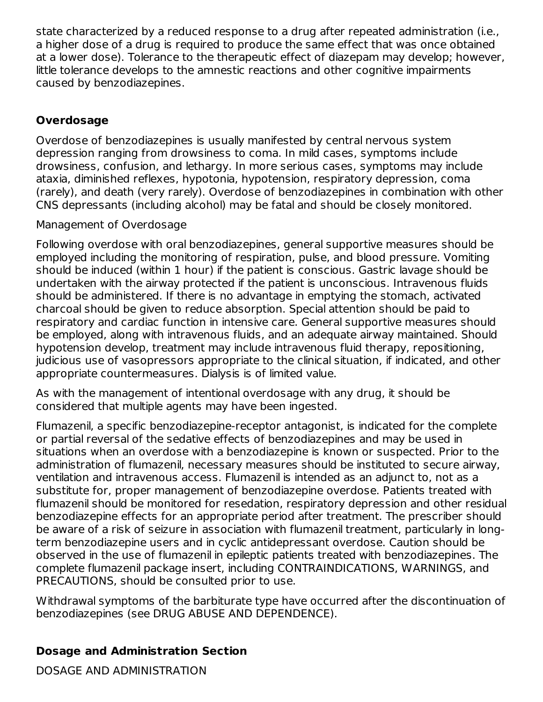state characterized by a reduced response to a drug after repeated administration (i.e., a higher dose of a drug is required to produce the same effect that was once obtained at a lower dose). Tolerance to the therapeutic effect of diazepam may develop; however, little tolerance develops to the amnestic reactions and other cognitive impairments caused by benzodiazepines.

## **Overdosage**

Overdose of benzodiazepines is usually manifested by central nervous system depression ranging from drowsiness to coma. In mild cases, symptoms include drowsiness, confusion, and lethargy. In more serious cases, symptoms may include ataxia, diminished reflexes, hypotonia, hypotension, respiratory depression, coma (rarely), and death (very rarely). Overdose of benzodiazepines in combination with other CNS depressants (including alcohol) may be fatal and should be closely monitored.

### Management of Overdosage

Following overdose with oral benzodiazepines, general supportive measures should be employed including the monitoring of respiration, pulse, and blood pressure. Vomiting should be induced (within 1 hour) if the patient is conscious. Gastric lavage should be undertaken with the airway protected if the patient is unconscious. Intravenous fluids should be administered. If there is no advantage in emptying the stomach, activated charcoal should be given to reduce absorption. Special attention should be paid to respiratory and cardiac function in intensive care. General supportive measures should be employed, along with intravenous fluids, and an adequate airway maintained. Should hypotension develop, treatment may include intravenous fluid therapy, repositioning, judicious use of vasopressors appropriate to the clinical situation, if indicated, and other appropriate countermeasures. Dialysis is of limited value.

As with the management of intentional overdosage with any drug, it should be considered that multiple agents may have been ingested.

Flumazenil, a specific benzodiazepine-receptor antagonist, is indicated for the complete or partial reversal of the sedative effects of benzodiazepines and may be used in situations when an overdose with a benzodiazepine is known or suspected. Prior to the administration of flumazenil, necessary measures should be instituted to secure airway, ventilation and intravenous access. Flumazenil is intended as an adjunct to, not as a substitute for, proper management of benzodiazepine overdose. Patients treated with flumazenil should be monitored for resedation, respiratory depression and other residual benzodiazepine effects for an appropriate period after treatment. The prescriber should be aware of a risk of seizure in association with flumazenil treatment, particularly in longterm benzodiazepine users and in cyclic antidepressant overdose. Caution should be observed in the use of flumazenil in epileptic patients treated with benzodiazepines. The complete flumazenil package insert, including CONTRAINDICATIONS, WARNINGS, and PRECAUTIONS, should be consulted prior to use.

Withdrawal symptoms of the barbiturate type have occurred after the discontinuation of benzodiazepines (see DRUG ABUSE AND DEPENDENCE).

### **Dosage and Administration Section**

DOSAGE AND ADMINISTRATION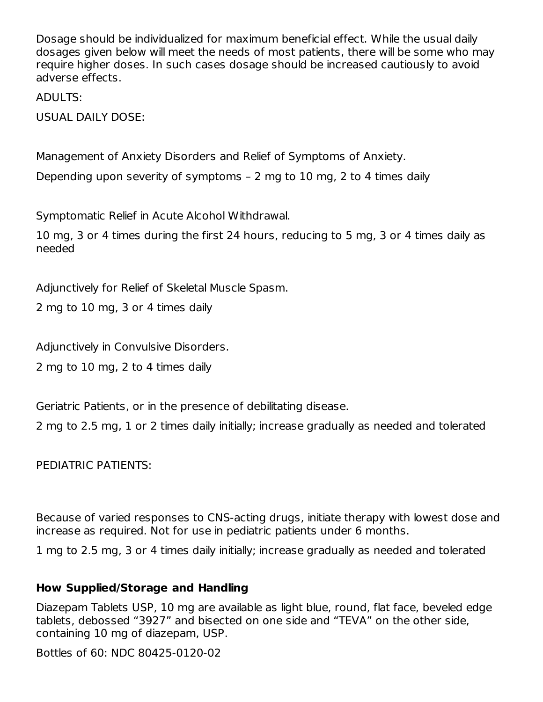Dosage should be individualized for maximum beneficial effect. While the usual daily dosages given below will meet the needs of most patients, there will be some who may require higher doses. In such cases dosage should be increased cautiously to avoid adverse effects.

ADULTS:

USUAL DAILY DOSE:

Management of Anxiety Disorders and Relief of Symptoms of Anxiety.

Depending upon severity of symptoms – 2 mg to 10 mg, 2 to 4 times daily

Symptomatic Relief in Acute Alcohol Withdrawal.

10 mg, 3 or 4 times during the first 24 hours, reducing to 5 mg, 3 or 4 times daily as needed

Adjunctively for Relief of Skeletal Muscle Spasm.

2 mg to 10 mg, 3 or 4 times daily

Adjunctively in Convulsive Disorders.

2 mg to 10 mg, 2 to 4 times daily

Geriatric Patients, or in the presence of debilitating disease.

2 mg to 2.5 mg, 1 or 2 times daily initially; increase gradually as needed and tolerated

PEDIATRIC PATIENTS:

Because of varied responses to CNS-acting drugs, initiate therapy with lowest dose and increase as required. Not for use in pediatric patients under 6 months.

1 mg to 2.5 mg, 3 or 4 times daily initially; increase gradually as needed and tolerated

### **How Supplied/Storage and Handling**

Diazepam Tablets USP, 10 mg are available as light blue, round, flat face, beveled edge tablets, debossed "3927" and bisected on one side and "TEVA" on the other side, containing 10 mg of diazepam, USP.

Bottles of 60: NDC 80425-0120-02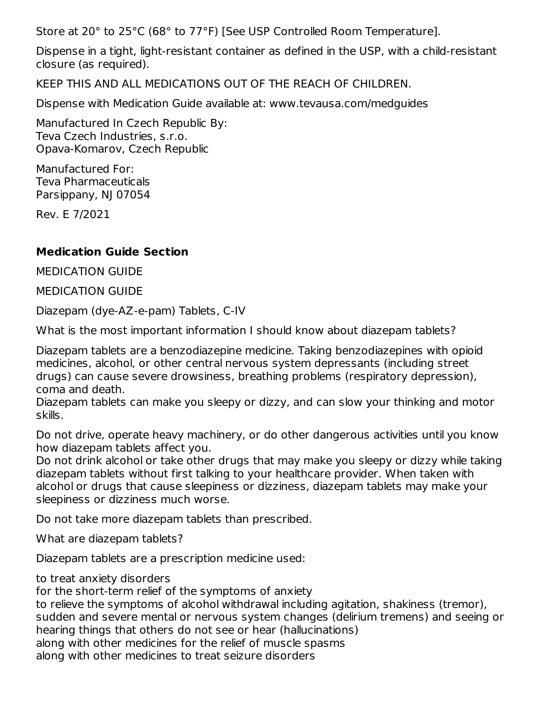Store at 20° to 25°C (68° to 77°F) [See USP Controlled Room Temperature].

Dispense in a tight, light-resistant container as defined in the USP, with a child-resistant closure (as required).

KEEP THIS AND ALL MEDICATIONS OUT OF THE REACH OF CHILDREN.

Dispense with Medication Guide available at: www.tevausa.com/medguides

Manufactured In Czech Republic By: Teva Czech Industries, s.r.o. Opava-Komarov, Czech Republic

Manufactured For: Teva Pharmaceuticals Parsippany, NJ 07054

Rev. E 7/2021

### **Medication Guide Section**

MEDICATION GUIDE

MEDICATION GUIDE

Diazepam (dye-AZ-e-pam) Tablets, C-IV

What is the most important information I should know about diazepam tablets?

Diazepam tablets are a benzodiazepine medicine. Taking benzodiazepines with opioid medicines, alcohol, or other central nervous system depressants (including street drugs) can cause severe drowsiness, breathing problems (respiratory depression), coma and death.

Diazepam tablets can make you sleepy or dizzy, and can slow your thinking and motor skills.

Do not drive, operate heavy machinery, or do other dangerous activities until you know how diazepam tablets affect you.

Do not drink alcohol or take other drugs that may make you sleepy or dizzy while taking diazepam tablets without first talking to your healthcare provider. When taken with alcohol or drugs that cause sleepiness or dizziness, diazepam tablets may make your sleepiness or dizziness much worse.

Do not take more diazepam tablets than prescribed.

What are diazepam tablets?

Diazepam tablets are a prescription medicine used:

to treat anxiety disorders

for the short-term relief of the symptoms of anxiety

to relieve the symptoms of alcohol withdrawal including agitation, shakiness (tremor), sudden and severe mental or nervous system changes (delirium tremens) and seeing or hearing things that others do not see or hear (hallucinations) along with other medicines for the relief of muscle spasms along with other medicines to treat seizure disorders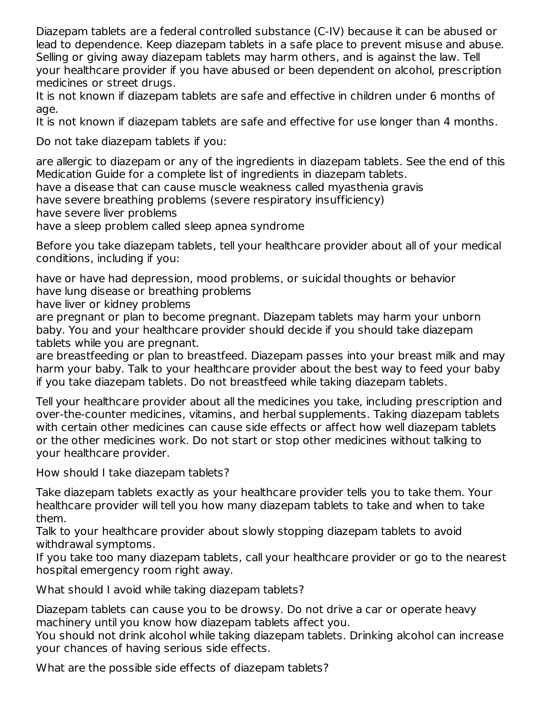Diazepam tablets are a federal controlled substance (C-IV) because it can be abused or lead to dependence. Keep diazepam tablets in a safe place to prevent misuse and abuse. Selling or giving away diazepam tablets may harm others, and is against the law. Tell your healthcare provider if you have abused or been dependent on alcohol, prescription medicines or street drugs.

It is not known if diazepam tablets are safe and effective in children under 6 months of age.

It is not known if diazepam tablets are safe and effective for use longer than 4 months.

Do not take diazepam tablets if you:

are allergic to diazepam or any of the ingredients in diazepam tablets. See the end of this Medication Guide for a complete list of ingredients in diazepam tablets.

have a disease that can cause muscle weakness called myasthenia gravis

have severe breathing problems (severe respiratory insufficiency)

have severe liver problems

have a sleep problem called sleep apnea syndrome

Before you take diazepam tablets, tell your healthcare provider about all of your medical conditions, including if you:

have or have had depression, mood problems, or suicidal thoughts or behavior have lung disease or breathing problems

have liver or kidney problems

are pregnant or plan to become pregnant. Diazepam tablets may harm your unborn baby. You and your healthcare provider should decide if you should take diazepam tablets while you are pregnant.

are breastfeeding or plan to breastfeed. Diazepam passes into your breast milk and may harm your baby. Talk to your healthcare provider about the best way to feed your baby if you take diazepam tablets. Do not breastfeed while taking diazepam tablets.

Tell your healthcare provider about all the medicines you take, including prescription and over-the-counter medicines, vitamins, and herbal supplements. Taking diazepam tablets with certain other medicines can cause side effects or affect how well diazepam tablets or the other medicines work. Do not start or stop other medicines without talking to your healthcare provider.

How should I take diazepam tablets?

Take diazepam tablets exactly as your healthcare provider tells you to take them. Your healthcare provider will tell you how many diazepam tablets to take and when to take them.

Talk to your healthcare provider about slowly stopping diazepam tablets to avoid withdrawal symptoms.

If you take too many diazepam tablets, call your healthcare provider or go to the nearest hospital emergency room right away.

What should I avoid while taking diazepam tablets?

Diazepam tablets can cause you to be drowsy. Do not drive a car or operate heavy machinery until you know how diazepam tablets affect you.

You should not drink alcohol while taking diazepam tablets. Drinking alcohol can increase your chances of having serious side effects.

What are the possible side effects of diazepam tablets?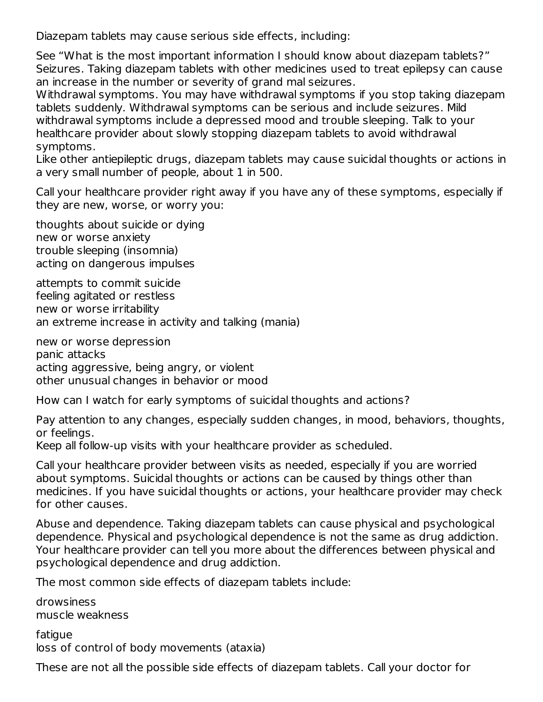Diazepam tablets may cause serious side effects, including:

See "What is the most important information I should know about diazepam tablets?" Seizures. Taking diazepam tablets with other medicines used to treat epilepsy can cause an increase in the number or severity of grand mal seizures.

Withdrawal symptoms. You may have withdrawal symptoms if you stop taking diazepam tablets suddenly. Withdrawal symptoms can be serious and include seizures. Mild withdrawal symptoms include a depressed mood and trouble sleeping. Talk to your healthcare provider about slowly stopping diazepam tablets to avoid withdrawal symptoms.

Like other antiepileptic drugs, diazepam tablets may cause suicidal thoughts or actions in a very small number of people, about 1 in 500.

Call your healthcare provider right away if you have any of these symptoms, especially if they are new, worse, or worry you:

thoughts about suicide or dying new or worse anxiety trouble sleeping (insomnia) acting on dangerous impulses

attempts to commit suicide feeling agitated or restless new or worse irritability an extreme increase in activity and talking (mania)

new or worse depression panic attacks acting aggressive, being angry, or violent other unusual changes in behavior or mood

How can I watch for early symptoms of suicidal thoughts and actions?

Pay attention to any changes, especially sudden changes, in mood, behaviors, thoughts, or feelings.

Keep all follow-up visits with your healthcare provider as scheduled.

Call your healthcare provider between visits as needed, especially if you are worried about symptoms. Suicidal thoughts or actions can be caused by things other than medicines. If you have suicidal thoughts or actions, your healthcare provider may check for other causes.

Abuse and dependence. Taking diazepam tablets can cause physical and psychological dependence. Physical and psychological dependence is not the same as drug addiction. Your healthcare provider can tell you more about the differences between physical and psychological dependence and drug addiction.

The most common side effects of diazepam tablets include:

drowsiness muscle weakness

fatique loss of control of body movements (ataxia)

These are not all the possible side effects of diazepam tablets. Call your doctor for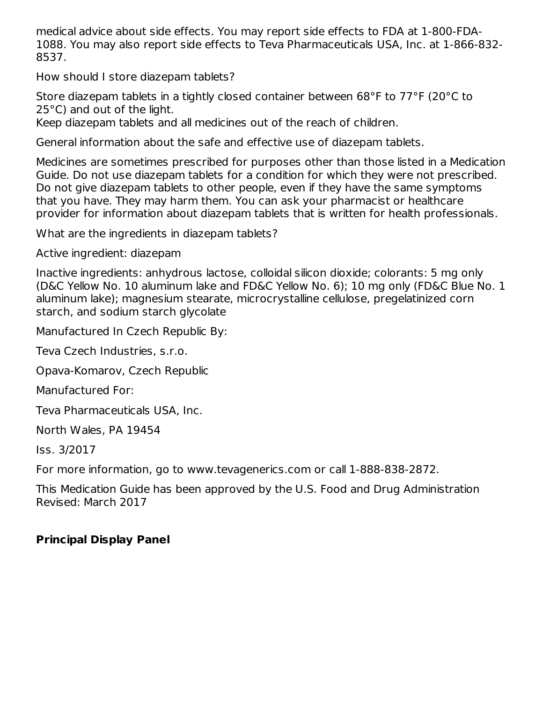medical advice about side effects. You may report side effects to FDA at 1-800-FDA-1088. You may also report side effects to Teva Pharmaceuticals USA, Inc. at 1-866-832- 8537.

How should I store diazepam tablets?

Store diazepam tablets in a tightly closed container between 68°F to 77°F (20°C to 25°C) and out of the light.

Keep diazepam tablets and all medicines out of the reach of children.

General information about the safe and effective use of diazepam tablets.

Medicines are sometimes prescribed for purposes other than those listed in a Medication Guide. Do not use diazepam tablets for a condition for which they were not prescribed. Do not give diazepam tablets to other people, even if they have the same symptoms that you have. They may harm them. You can ask your pharmacist or healthcare provider for information about diazepam tablets that is written for health professionals.

What are the ingredients in diazepam tablets?

Active ingredient: diazepam

Inactive ingredients: anhydrous lactose, colloidal silicon dioxide; colorants: 5 mg only (D&C Yellow No. 10 aluminum lake and FD&C Yellow No. 6); 10 mg only (FD&C Blue No. 1 aluminum lake); magnesium stearate, microcrystalline cellulose, pregelatinized corn starch, and sodium starch glycolate

Manufactured In Czech Republic By:

Teva Czech Industries, s.r.o.

Opava-Komarov, Czech Republic

Manufactured For:

Teva Pharmaceuticals USA, Inc.

North Wales, PA 19454

Iss. 3/2017

For more information, go to www.tevagenerics.com or call 1-888-838-2872.

This Medication Guide has been approved by the U.S. Food and Drug Administration Revised: March 2017

# **Principal Display Panel**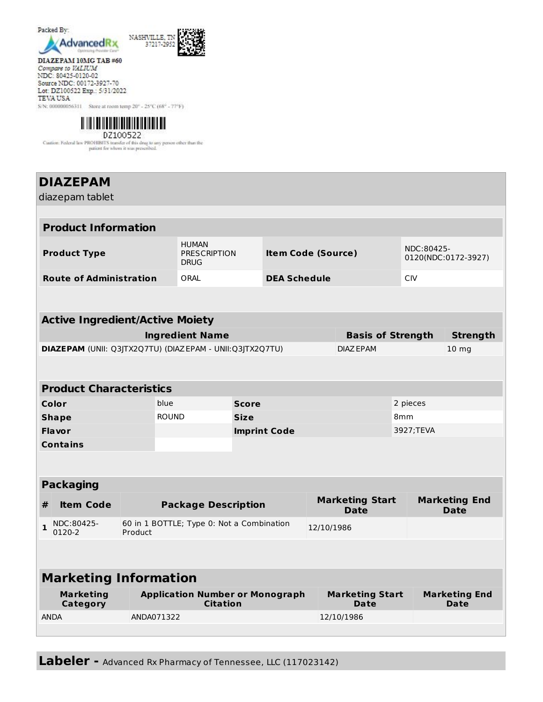

DIAZEPAM 10MG TAB #60 Compare to VALIUM NDC: 80425-0120-02 Source NDC: 00172-3927-70 Lot: DZ100522 Exp.: 5/31/2022 **TEVA USA** S/N: 000000056311 Store at room temp 20° - 25°C (68° - 77°F)



Caation: Federal law PROHIBITS transfer of this drug to any person other than the patient for whom it was presentbed.

#### **DIAZEPAM** diazepam tablet **Product Information Product Type** HUMAN PRESCRIPTION **DRUG Item Code (Source)** NDC:80425- 0120(NDC:0172-3927) **Route of Administration** ORAL **DEA Schedule** CIV **Active Ingredient/Active Moiety Ingredient Name Basis of Strength Strength DIAZEPAM** (UNII: Q3JTX2Q7TU) (DIAZEPAM - UNII:Q3JTX2Q7TU) DIAZEPAM 10 mg **Product Characteristics Color** blue **Score** 2 pieces **Shape** 8mm ROUND **Size** 8mm 8mm **Flavor Imprint Code** 3927;TEVA **Contains Packaging # Item Code Package Description Marketing Start Date Marketing End Date**  $1^{NDC:80425-}$ 0120-2 60 in 1 BOTTLE; Type 0: Not a Combination Product 12/10/1986 **Marketing Information Marketing Category Application Number or Monograph Citation Marketing Start Date Marketing End Date** ANDA ANDA071322 12/10/1986

**Labeler -** Advanced Rx Pharmacy of Tennessee, LLC (117023142)